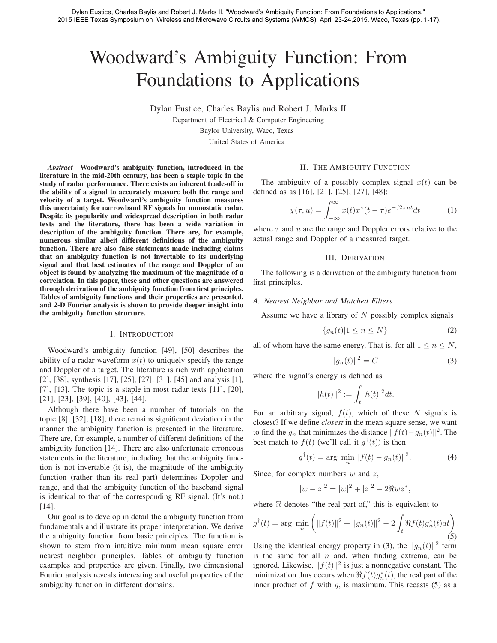# Woodward's Ambiguity Function: From Foundations to Applications

Dylan Eustice, Charles Baylis and Robert J. Marks II

Department of Electrical & Computer Engineering

Baylor University, Waco, Texas

United States of America

*Abstract*—Woodward's ambiguity function, introduced in the literature in the mid-20th century, has been a staple topic in the study of radar performance. There exists an inherent trade-off in the ability of a signal to accurately measure both the range and velocity of a target. Woodward's ambiguity function measures this uncertainty for narrowband RF signals for monostatic radar. Despite its popularity and widespread description in both radar texts and the literature, there has been a wide variation in description of the ambiguity function. There are, for example, numerous similar albeit different definitions of the ambiguity function. There are also false statements made including claims that an ambiguity function is not invertable to its underlying signal and that best estimates of the range and Doppler of an object is found by analyzing the maximum of the magnitude of a correlation. In this paper, these and other questions are answered through derivation of the ambiguity function from first principles. Tables of ambiguity functions and their properties are presented, and 2-D Fourier analysis is shown to provide deeper insight into the ambiguity function structure.

#### I. INTRODUCTION

Woodward's ambiguity function [49], [50] describes the ability of a radar waveform  $x(t)$  to uniquely specify the range and Doppler of a target. The literature is rich with application [2], [38], synthesis [17], [25], [27], [31], [45] and analysis [1], [7], [13]. The topic is a staple in most radar texts  $[11]$ ,  $[20]$ , [21], [23], [39], [40], [43], [44].

Although there have been a number of tutorials on the topic [8], [32], [18], there remains significant deviation in the manner the ambiguity function is presented in the literature. There are, for example, a number of different definitions of the ambiguity function [14]. There are also unfortunate erroneous statements in the literature, including that the ambiguity function is not invertable (it is), the magnitude of the ambiguity function (rather than its real part) determines Doppler and range, and that the ambiguity function of the baseband signal is identical to that of the corresponding RF signal. (It's not.) [14].

Our goal is to develop in detail the ambiguity function from fundamentals and illustrate its proper interpretation. We derive the ambiguity function from basic principles. The function is shown to stem from intuitive minimum mean square error nearest neighbor principles. Tables of ambiguity function examples and properties are given. Finally, two dimensional Fourier analysis reveals interesting and useful properties of the ambiguity function in different domains.

#### II. THE AMBIGUITY FUNCTION

The ambiguity of a possibly complex signal  $x(t)$  can be defined as as [16], [21], [25], [27], [48]:

$$
\chi(\tau, u) = \int_{-\infty}^{\infty} x(t)x^*(t - \tau)e^{-j2\pi ut}dt
$$
 (1)

where  $\tau$  and u are the range and Doppler errors relative to the actual range and Doppler of a measured target.

# III. DERIVATION

The following is a derivation of the ambiguity function from first principles.

#### *A. Nearest Neighbor and Matched Filters*

Assume we have a library of  $N$  possibly complex signals

$$
\{g_n(t)|1 \le n \le N\} \tag{2}
$$

all of whom have the same energy. That is, for all  $1 \le n \le N$ ,

$$
||g_n(t)||^2 = C
$$
 (3)

where the signal's energy is defined as

$$
||h(t)||^2 := \int_t |h(t)|^2 dt.
$$

For an arbitrary signal,  $f(t)$ , which of these N signals is closest? If we define *closest* in the mean square sense, we want to find the  $g_n$  that minimizes the distance  $|| f(t) - g_n(t) ||^2$ . The best match to  $f(t)$  (we'll call it  $g^{\dagger}(t)$ ) is then

$$
g^{\dagger}(t) = \arg \; \min_{n} \|f(t) - g_n(t)\|^2. \tag{4}
$$

Since, for complex numbers  $w$  and  $z$ ,

$$
|w - z|^2 = |w|^2 + |z|^2 - 2\Re w z^*,
$$

where  $\Re$  denotes "the real part of," this is equivalent to

$$
g^{\dagger}(t) = \arg \min_{n} \left( ||f(t)||^2 + ||g_n(t)||^2 - 2 \int_t \Re f(t) g_n^*(t) dt \right).
$$
\n(5)

Using the identical energy property in (3), the  $||q_n(t)||^2$  term is the same for all  $n$  and, when finding extrema, can be ignored. Likewise,  $|| f(t)||^2$  is just a nonnegative constant. The minimization thus occurs when  $\Re f(t)g_n^*(t)$ , the real part of the<br>inner product of f with a is maximum. This recasts (5) as a inner product of  $f$  with  $g$ , is maximum. This recasts (5) as a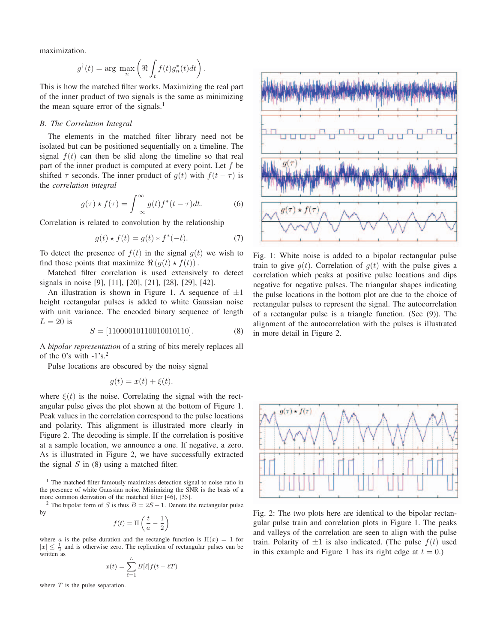maximization.

$$
g^{\dagger}(t) = \arg \ \max_{n} \left( \Re \int_{t} f(t) g_n^*(t) dt \right).
$$

This is how the matched filter works. Maximizing the real part of the inner product of two signals is the same as minimizing the mean square error of the signals.<sup>1</sup>

#### *B. The Correlation Integral*

The elements in the matched filter library need not be isolated but can be positioned sequentially on a timeline. The signal  $f(t)$  can then be slid along the timeline so that real part of the inner product is computed at every point. Let  $f$  be shifted  $\tau$  seconds. The inner product of  $q(t)$  with  $f(t - \tau)$  is the *correlation integral*

$$
g(\tau) \star f(\tau) = \int_{-\infty}^{\infty} g(t) f^*(t - \tau) dt.
$$
 (6)

Correlation is related to convolution by the relationship

$$
g(t) \star f(t) = g(t) \star f^*(-t).
$$
 (7)

To detect the presence of  $f(t)$  in the signal  $g(t)$  we wish to find those points that maximize  $\Re(g(t) \star f(t))$ .

Matched filter correlation is used extensively to detect signals in noise [9], [11], [20], [21], [28], [29], [42].

An illustration is shown in Figure 1. A sequence of  $\pm 1$ height rectangular pulses is added to white Gaussian noise with unit variance. The encoded binary sequence of length  $L = 20$  is

$$
S = [11000010110010010110]. \tag{8}
$$

A *bipolar representation* of a string of bits merely replaces all of the 0's with  $-1$ 's.<sup>2</sup>

Pulse locations are obscured by the noisy signal

$$
g(t) = x(t) + \xi(t).
$$

where  $\xi(t)$  is the noise. Correlating the signal with the rectangular pulse gives the plot shown at the bottom of Figure 1. Peak values in the correlation correspond to the pulse locations and polarity. This alignment is illustrated more clearly in Figure 2. The decoding is simple. If the correlation is positive at a sample location, we announce a one. If negative, a zero. As is illustrated in Figure 2, we have successfully extracted the signal  $S$  in (8) using a matched filter.

<sup>1</sup> The matched filter famously maximizes detection signal to noise ratio in the presence of white Gaussian noise. Minimizing the SNR is the basis of a more common derivation of the matched filter [46], [35].

<sup>2</sup> The bipolar form of S is thus  $B = 2S - 1$ . Denote the rectangular pulse by

$$
f(t) = \Pi \left( \frac{t}{a} - \frac{1}{2} \right)
$$

where a is the pulse duration and the rectangle function is  $\Pi(x)=1$  for  $|x| \leq \frac{1}{2}$  and is otherwise zero. The replication of rectangular pulses can be written as

$$
x(t) = \sum_{\ell=1}^{L} B[\ell] f(t - \ell T)
$$

where  $T$  is the pulse separation.



Fig. 1: White noise is added to a bipolar rectangular pulse train to give  $q(t)$ . Correlation of  $q(t)$  with the pulse gives a correlation which peaks at positive pulse locations and dips negative for negative pulses. The triangular shapes indicating the pulse locations in the bottom plot are due to the choice of rectangular pulses to represent the signal. The autocorrelation of a rectangular pulse is a triangle function. (See (9)). The alignment of the autocorrelation with the pulses is illustrated in more detail in Figure 2.



Fig. 2: The two plots here are identical to the bipolar rectangular pulse train and correlation plots in Figure 1. The peaks and valleys of the correlation are seen to align with the pulse train. Polarity of  $\pm 1$  is also indicated. (The pulse  $f(t)$  used in this example and Figure 1 has its right edge at  $t = 0$ .)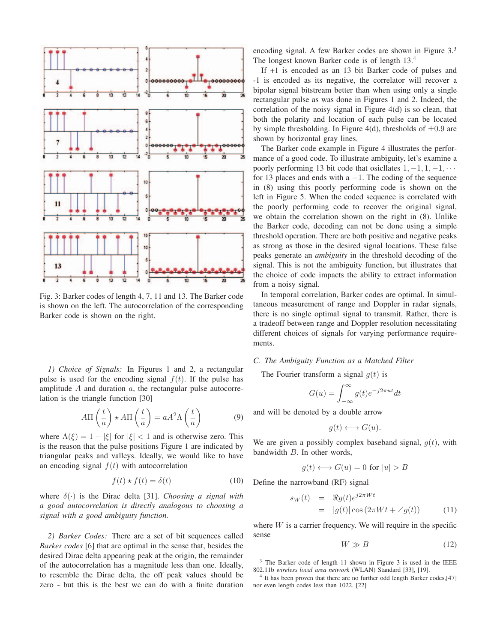

Fig. 3: Barker codes of length 4, 7, 11 and 13. The Barker code is shown on the left. The autocorrelation of the corresponding Barker code is shown on the right.

*1) Choice of Signals:* In Figures 1 and 2, a rectangular pulse is used for the encoding signal  $f(t)$ . If the pulse has amplitude  $A$  and duration  $a$ , the rectangular pulse autocorrelation is the triangle function [30]

$$
A\Pi\left(\frac{t}{a}\right) \star A\Pi\left(\frac{t}{a}\right) = aA^2\Lambda\left(\frac{t}{a}\right) \tag{9}
$$

where  $\Lambda(\xi)=1 - |\xi|$  for  $|\xi| < 1$  and is otherwise zero. This is the reason that the pulse positions Figure 1 are indicated by triangular peaks and valleys. Ideally, we would like to have an encoding signal  $f(t)$  with autocorrelation

$$
f(t) \star f(t) = \delta(t) \tag{10}
$$

where <sup>δ</sup>(·) is the Dirac delta [31]. *Choosing a signal with a good autocorrelation is directly analogous to choosing a signal with a good ambiguity function.*

*2) Barker Codes:* There are a set of bit sequences called *Barker codes* [6] that are optimal in the sense that, besides the desired Dirac delta appearing peak at the origin, the remainder of the autocorrelation has a magnitude less than one. Ideally, to resemble the Dirac delta, the off peak values should be zero - but this is the best we can do with a finite duration encoding signal. A few Barker codes are shown in Figure 3.<sup>3</sup> The longest known Barker code is of length 13.<sup>4</sup>

If +1 is encoded as an 13 bit Barker code of pulses and -1 is encoded as its negative, the correlator will recover a bipolar signal bitstream better than when using only a single rectangular pulse as was done in Figures 1 and 2. Indeed, the correlation of the noisy signal in Figure 4(d) is so clean, that both the polarity and location of each pulse can be located by simple thresholding. In Figure 4(d), thresholds of  $\pm 0.9$  are shown by horizontal gray lines.

The Barker code example in Figure 4 illustrates the performance of a good code. To illustrate ambiguity, let's examine a poorly performing 13 bit code that osicllates  $1, -1, 1, -1, \cdots$ for 13 places and ends with a  $+1$ . The coding of the sequence in (8) using this poorly performing code is shown on the left in Figure 5. When the coded sequence is correlated with the poorly performing code to recover the original signal, we obtain the correlation shown on the right in (8). Unlike the Barker code, decoding can not be done using a simple threshold operation. There are both positive and negative peaks as strong as those in the desired signal locations. These false peaks generate an *ambiguity* in the threshold decoding of the signal. This is not the ambiguity function, but illustrates that the choice of code impacts the ability to extract information from a noisy signal.

In temporal correlation, Barker codes are optimal. In simultaneous measurement of range and Doppler in radar signals, there is no single optimal signal to transmit. Rather, there is a tradeoff between range and Doppler resolution necessitating different choices of signals for varying performance requirements.

# *C. The Ambiguity Function as a Matched Filter*

The Fourier transform a signal  $g(t)$  is

$$
G(u) = \int_{-\infty}^{\infty} g(t)e^{-j2\pi ut}dt
$$

and will be denoted by a double arrow

$$
g(t) \longleftrightarrow G(u).
$$

We are given a possibly complex baseband signal,  $g(t)$ , with bandwidth B. In other words,

$$
g(t) \longleftrightarrow G(u) = 0 \text{ for } |u| > B
$$

Define the narrowband (RF) signal

$$
s_W(t) = \Re g(t)e^{j2\pi Wt}
$$
  
=  $|g(t)| \cos(2\pi Wt + \angle g(t))$  (11)

where  $W$  is a carrier frequency. We will require in the specific sense

$$
W \gg B \tag{12}
$$

<sup>3</sup> The Barker code of length 11 shown in Figure 3 is used in the IEEE 802.11b *wireless local area network* (WLAN) Standard [33], [19].

It has been proven that there are no further odd length Barker codes,[47] nor even length codes less than 1022. [22]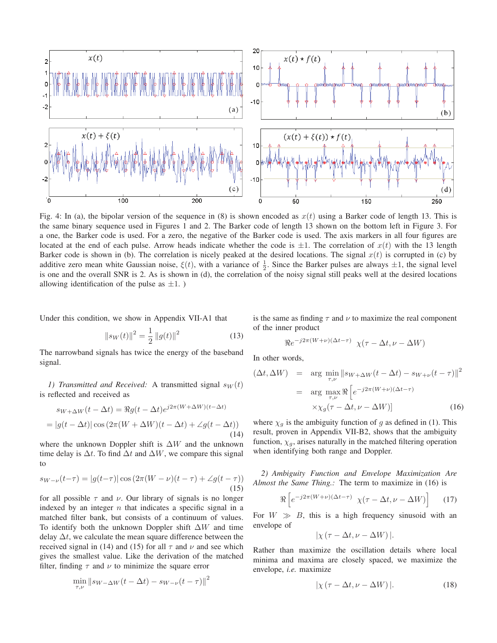

Fig. 4: In (a), the bipolar version of the sequence in (8) is shown encoded as  $x(t)$  using a Barker code of length 13. This is the same binary sequence used in Figures 1 and 2. The Barker code of length 13 shown on the bottom left in Figure 3. For a one, the Barker code is used. For a zero, the negative of the Barker code is used. The axis markers in all four figures are located at the end of each pulse. Arrow heads indicate whether the code is  $\pm 1$ . The correlation of  $x(t)$  with the 13 length Barker code is shown in (b). The correlation is nicely peaked at the desired locations. The signal  $x(t)$  is corrupted in (c) by additive zero mean white Gaussian noise,  $\xi(t)$ , with a variance of  $\frac{1}{2}$ . Since the Barker pulses are always  $\pm 1$ , the signal level<br>is one and the overall SNR is 2. As is shown in (d), the correlation of the noisy is one and the overall SNR is 2. As is shown in (d), the correlation of the noisy signal still peaks well at the desired locations allowing identification of the pulse as  $\pm 1$ .)

Under this condition, we show in Appendix VII-A1 that

$$
||s_W(t)||^2 = \frac{1}{2} ||g(t)||^2
$$
 (13)  
The narrowband signals has twice the energy of the baseband

signal.

*1) Transmitted and Received:* A transmitted signal  $s_W(t)$ is reflected and received as

$$
s_{W+\Delta W}(t - \Delta t) = \Re g(t - \Delta t)e^{j2\pi(W + \Delta W)(t - \Delta t)}
$$

$$
= |g(t - \Delta t)| \cos (2\pi (W + \Delta W)(t - \Delta t) + \angle g(t - \Delta t))
$$
(14)

where the unknown Doppler shift is  $\Delta W$  and the unknown time delay is  $\Delta t$ . To find  $\Delta t$  and  $\Delta W$ , we compare this signal to

$$
s_{W-\nu}(t-\tau) = |g(t-\tau)| \cos(2\pi(W-\nu)(t-\tau) + \angle g(t-\tau))
$$
\n(15)

for all possible  $\tau$  and  $\nu$ . Our library of signals is no longer indexed by an integer  $n$  that indicates a specific signal in a matched filter bank, but consists of a continuum of values. To identify both the unknown Doppler shift  $\Delta W$  and time delay  $\Delta t$ , we calculate the mean square difference between the received signal in (14) and (15) for all  $\tau$  and  $\nu$  and see which gives the smallest value. Like the derivation of the matched filter, finding  $\tau$  and  $\nu$  to minimize the square error

$$
\min_{\tau,\nu} \|s_{W-\Delta W}(t - \Delta t) - s_{W-\nu}(t - \tau)\|^2
$$

is the same as finding  $\tau$  and  $\nu$  to maximize the real component of the inner product

$$
\Re e^{-j2\pi(W+\nu)(\Delta t-\tau)} \chi(\tau-\Delta t,\nu-\Delta W)
$$

In other words,

$$
(\Delta t, \Delta W) = \arg \min_{\tau, \nu} \|s_{W + \Delta W}(t - \Delta t) - s_{W + \nu}(t - \tau)\|^2
$$

$$
= \arg \max_{\tau, \nu} \Re \left[e^{-j2\pi (W + \nu)(\Delta t - \tau)} \times \chi_g(\tau - \Delta t, \nu - \Delta W)\right]
$$
(16)

where  $\chi_g$  is the ambiguity function of g as defined in (1). This result, proven in Appendix VII-B2, shows that the ambiguity function,  $\chi_g$ , arises naturally in the matched filtering operation when identifying both range and Doppler.

*2) Ambiguity Function and Envelope Maximization Are Almost the Same Thing.:* The term to maximize in (16) is

$$
\Re\left[e^{-j2\pi(W+\nu)(\Delta t-\tau)}\ \chi(\tau-\Delta t,\nu-\Delta W)\right] \qquad (17)
$$

For  $W \gg B$ , this is a high frequency sinusoid with an envelope of

$$
|\chi(\tau - \Delta t, \nu - \Delta W)|.
$$

Rather than maximize the oscillation details where local minima and maxima are closely spaced, we maximize the envelope, *i.e.* maximize

$$
|\chi(\tau - \Delta t, \nu - \Delta W)|. \tag{18}
$$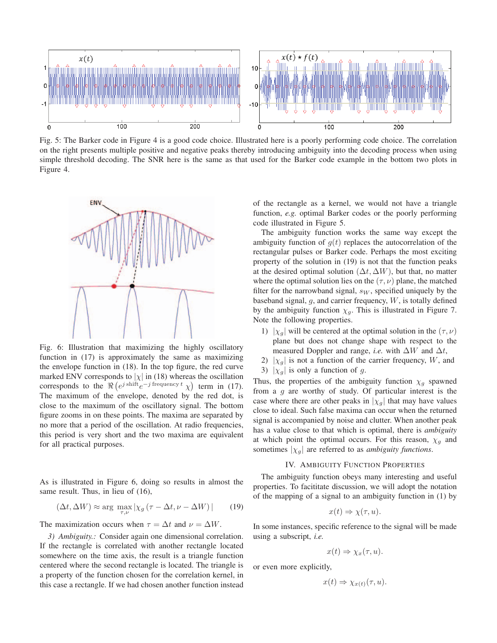

Fig. 5: The Barker code in Figure 4 is a good code choice. Illustrated here is a poorly performing code choice. The correlation on the right presents multiple positive and negative peaks thereby introducing ambiguity into the decoding process when using simple threshold decoding. The SNR here is the same as that used for the Barker code example in the bottom two plots in Figure 4.



Fig. 6: Illustration that maximizing the highly oscillatory function in (17) is approximately the same as maximizing the envelope function in (18). In the top figure, the red curve marked ENV corresponds to  $|\chi|$  in (18) whereas the oscillation corresponds to the  $\Re(e^{j \text{ shift}}e^{-j \text{ frequency } t} \chi)$  term in (17). The maximum of the envelope, denoted by the red dot, is close to the maximum of the oscillatory signal. The bottom figure zooms in on these points. The maxima are separated by no more that a period of the oscillation. At radio frequencies, this period is very short and the two maxima are equivalent for all practical purposes.

As is illustrated in Figure 6, doing so results in almost the same result. Thus, in lieu of (16),

$$
(\Delta t, \Delta W) \approx \arg \max_{\tau, \nu} |\chi_g(\tau - \Delta t, \nu - \Delta W)| \tag{19}
$$

The maximization occurs when  $\tau = \Delta t$  and  $\nu = \Delta W$ .

*3) Ambiguity.:* Consider again one dimensional correlation. If the rectangle is correlated with another rectangle located somewhere on the time axis, the result is a triangle function centered where the second rectangle is located. The triangle is a property of the function chosen for the correlation kernel, in this case a rectangle. If we had chosen another function instead

of the rectangle as a kernel, we would not have a triangle function, *e.g.* optimal Barker codes or the poorly performing code illustrated in Figure 5.

The ambiguity function works the same way except the ambiguity function of  $q(t)$  replaces the autocorrelation of the rectangular pulses or Barker code. Perhaps the most exciting property of the solution in (19) is not that the function peaks at the desired optimal solution  $(\Delta t, \Delta W)$ , but that, no matter where the optimal solution lies on the  $(\tau,\nu)$  plane, the matched filter for the narrowband signal,  $s_W$ , specified uniquely by the baseband signal,  $g$ , and carrier frequency,  $W$ , is totally defined by the ambiguity function  $\chi_g$ . This is illustrated in Figure 7. Note the following properties.

- 1)  $|\chi_a|$  will be centered at the optimal solution in the  $(\tau,\nu)$ plane but does not change shape with respect to the measured Doppler and range, *i.e.* with  $\Delta W$  and  $\Delta t$ ,
- 2)  $|\chi_g|$  is not a function of the carrier frequency, W, and
- 3)  $|\chi_g|$  is only a function of g.

Thus, the properties of the ambiguity function  $\chi_g$  spawned from a  $g$  are worthy of study. Of particular interest is the case where there are other peaks in  $|\chi_g|$  that may have values close to ideal. Such false maxima can occur when the returned signal is accompanied by noise and clutter. When another peak has a value close to that which is optimal, there is *ambiguity* at which point the optimal occurs. For this reason,  $\chi_q$  and sometimes  $|\chi_q|$  are referred to as *ambiguity functions*.

# IV. AMBIGUITY FUNCTION PROPERTIES

The ambiguity function obeys many interesting and useful properties. To facititate discussion, we will adopt the notation of the mapping of a signal to an ambiguity function in (1) by

$$
x(t) \Rightarrow \chi(\tau, u).
$$

In some instances, specific reference to the signal will be made using a subscript, *i.e.*

$$
x(t) \Rightarrow \chi_x(\tau, u).
$$

or even more explicitly,

$$
x(t) \Rightarrow \chi_{x(t)}(\tau, u).
$$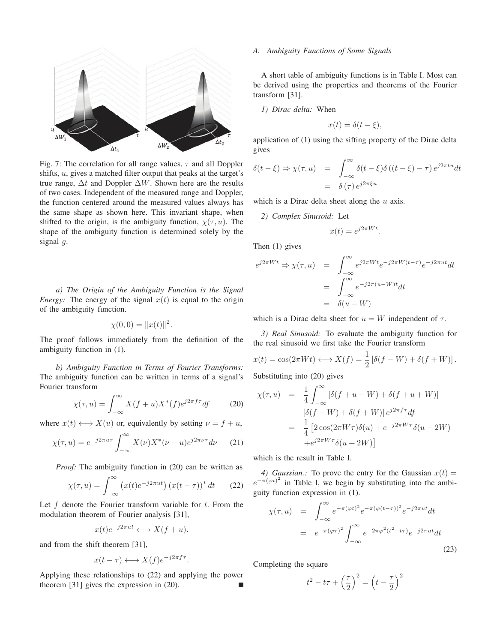

Fig. 7: The correlation for all range values,  $\tau$  and all Doppler shifts, u, gives a matched filter output that peaks at the target's true range,  $\Delta t$  and Doppler  $\Delta W$ . Shown here are the results of two cases. Independent of the measured range and Doppler, the function centered around the measured values always has the same shape as shown here. This invariant shape, when shifted to the origin, is the ambiguity function,  $\chi(\tau, u)$ . The shape of the ambiguity function is determined solely by the signal  $g$ .

*a) The Origin of the Ambiguity Function is the Signal Energy:* The energy of the signal  $x(t)$  is equal to the origin of the ambiguity function.

$$
\chi(0,0) = ||x(t)||^2.
$$

The proof follows immediately from the definition of the ambiguity function in (1).

*b) Ambiguity Function in Terms of Fourier Transforms:* The ambiguity function can be written in terms of a signal's Fourier transform

$$
\chi(\tau, u) = \int_{-\infty}^{\infty} X(f+u)X^*(f)e^{j2\pi f\tau}df
$$
 (20)

where  $x(t) \longleftrightarrow X(u)$  or, equivalently by setting  $\nu = f + u$ ,

$$
\chi(\tau, u) = e^{-j2\pi u\tau} \int_{-\infty}^{\infty} X(\nu) X^*(\nu - u) e^{j2\pi \nu \tau} d\nu \qquad (21)
$$

*Proof:* The ambiguity function in (20) can be written as

$$
\chi(\tau, u) = \int_{-\infty}^{\infty} \left( x(t)e^{-j2\pi ut} \right) \left( x(t - \tau) \right)^{*} dt \qquad (22)
$$

Let  $f$  denote the Fourier transform variable for  $t$ . From the modulation theorem of Fourier analysis [31],

$$
x(t)e^{-j2\pi ut} \longleftrightarrow X(f+u).
$$

and from the shift theorem [31],

$$
x(t-\tau) \longleftrightarrow X(f)e^{-j2\pi f\tau}.
$$

Applying these relationships to (22) and applying the power theorem [31] gives the expression in (20).

#### *A. Ambiguity Functions of Some Signals*

A short table of ambiguity functions is in Table I. Most can be derived using the properties and theorems of the Fourier transform [31].

*1) Dirac delta:* When

$$
x(t) = \delta(t - \xi),
$$

application of (1) using the sifting property of the Dirac delta gives

$$
\delta(t - \xi) \Rightarrow \chi(\tau, u) = \int_{-\infty}^{\infty} \delta(t - \xi) \delta((t - \xi) - \tau) e^{j2\pi tu} dt
$$

$$
= \delta(\tau) e^{j2\pi \xi u}
$$

which is a Dirac delta sheet along the  $u$  axis.

*2) Complex Sinusoid:* Let

$$
x(t) = e^{j2\pi Wt}.
$$

Then (1) gives

$$
e^{j2\pi Wt} \Rightarrow \chi(\tau, u) = \int_{-\infty}^{\infty} e^{j2\pi Wt} e^{-j2\pi W(t-\tau)} e^{-j2\pi ut} dt
$$
  

$$
= \int_{-\infty}^{\infty} e^{-j2\pi(u-W)t} dt
$$
  

$$
= \delta(u-W)
$$

which is a Dirac delta sheet for  $u = W$  independent of  $\tau$ .

*3) Real Sinusoid:* To evaluate the ambiguity function for the real sinusoid we first take the Fourier transform

$$
x(t) = \cos(2\pi Wt) \longleftrightarrow X(f) = \frac{1}{2} [\delta(f - W) + \delta(f + W)].
$$
  
Substituting into (20) gives

Substituting into (20) gives

$$
\chi(\tau, u) = \frac{1}{4} \int_{-\infty}^{\infty} \left[ \delta(f + u - W) + \delta(f + u + W) \right]
$$

$$
\left[ \delta(f - W) + \delta(f + W) \right] e^{j2\pi f \tau} df
$$

$$
= \frac{1}{4} \left[ 2 \cos(2\pi W \tau) \delta(u) + e^{-j2\pi W \tau} \delta(u - 2W) \right]
$$

$$
+ e^{j2\pi W \tau} \delta(u + 2W) ]
$$

which is the result in Table I.

*4) Gaussian.:* To prove the entry for the Gaussian  $x(t) =$  $e^{-\pi(\varphi t)^2}$  in Table I, we begin by substituting into the ambiguity function expression in (1).

$$
\chi(\tau, u) = \int_{-\infty}^{\infty} e^{-\pi(\varphi t)^2} e^{-\pi(\varphi(t-\tau))^2} e^{-j2\pi ut} dt
$$

$$
= e^{-\pi(\varphi \tau)^2} \int_{-\infty}^{\infty} e^{-2\pi \varphi^2 (t^2 - t\tau)} e^{-j2\pi ut} dt
$$
(23)

Completing the square

$$
t^2 - t\tau + \left(\frac{\tau}{2}\right)^2 = \left(t - \frac{\tau}{2}\right)^2
$$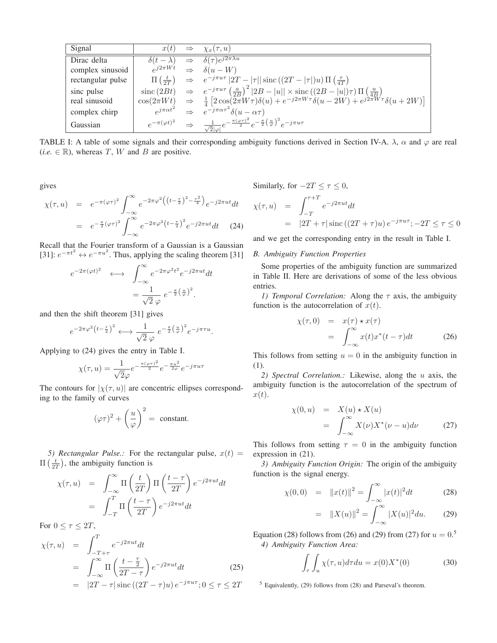| Signal            | x(t)                 | $\Rightarrow$ | $\chi_x(\tau, u)$                                                                                                                                                                                                                                                                                                                                                                |
|-------------------|----------------------|---------------|----------------------------------------------------------------------------------------------------------------------------------------------------------------------------------------------------------------------------------------------------------------------------------------------------------------------------------------------------------------------------------|
| Dirac delta       |                      |               | $\delta(t-\lambda) \Rightarrow \delta(\tau)e^{j2\pi\lambda u}$                                                                                                                                                                                                                                                                                                                   |
| complex sinusoid  |                      |               | $e^{j2\pi Wt} \Rightarrow \delta(u-W)$                                                                                                                                                                                                                                                                                                                                           |
| rectangular pulse |                      |               | $\Pi\left(\frac{t}{2T}\right) \Rightarrow e^{-j\pi u \tau}  2T -  \tau   \operatorname{sinc}\left((2T -  \tau )u\right) \Pi\left(\frac{\tau}{4T}\right)$                                                                                                                                                                                                                         |
| sinc pulse        |                      |               | $\begin{array}{rcl}\n\text{sinc}\left(2Bt\right) & \Rightarrow & e^{-j\pi u\tau} \left(\frac{a}{2B}\right)^2  2B -  u  \times \text{sinc}\left((2B -  u )\tau\right) \Pi \left(\frac{u}{4B}\right) \\ \text{cos}(2\pi Wt) & \Rightarrow & \frac{1}{4} \left[2 \cos(2\pi W\tau) \delta(u) + e^{-j2\pi W\tau} \delta(u - 2W) + e^{j2\pi W\tau} \delta(u + 2W)\right]\n\end{array}$ |
| real sinusoid     |                      |               |                                                                                                                                                                                                                                                                                                                                                                                  |
| complex chirp     | $e^{j\pi\alpha t^2}$ |               | $\Rightarrow e^{-j\pi\alpha\tau^2}\delta(u-\alpha\tau)$                                                                                                                                                                                                                                                                                                                          |
| Gaussian          |                      |               | $e^{-\pi (\varphi t)^2} \quad \Rightarrow \quad \tfrac{1}{\sqrt{2} \varphi } e^{-\frac{\pi (\varphi \tau)^2}{2}} e^{-\frac{\pi}{2} \left(\frac{u}{\varphi}\right)^2} e^{-j\pi u \tau}$                                                                                                                                                                                           |

TABLE I: A table of some signals and their corresponding ambiguity functions derived in Section IV-A.  $\lambda$ ,  $\alpha$  and  $\varphi$  are real  $(i.e. \in \mathbb{R})$ , whereas T, W and B are positive.

gives

$$
\chi(\tau, u) = e^{-\pi(\varphi\tau)^2} \int_{-\infty}^{\infty} e^{-2\pi\varphi^2} \left( (t - \frac{\tau}{2})^2 - \frac{\tau^2}{4} \right) e^{-j2\pi ut} dt
$$

$$
= e^{-\frac{\pi}{2}(\varphi\tau)^2} \int_{-\infty}^{\infty} e^{-2\pi\varphi^2 \left( t - \frac{\tau}{2} \right)^2} e^{-j2\pi ut} dt \qquad (24)
$$

Recall that the Fourier transform of a Gaussian is a Gaussian [31]:  $e^{-\pi t^2} \leftrightarrow e^{-\pi u^2}$ . Thus, applying the scaling theorem [31]

$$
e^{-2\pi(\varphi t)^2} \longleftrightarrow \int_{-\infty}^{\infty} e^{-2\pi\varphi^2 t^2} e^{-j2\pi ut} dt
$$

$$
= \frac{1}{\sqrt{2} \varphi} e^{-\frac{\pi}{2} (\frac{u}{\varphi})^2}.
$$

 $\sqrt{2} \varphi$ <br>and then the shift theorem [31] gives

$$
e^{-2\pi\varphi^2\left(t-\frac{\tau}{2}\right)^2}\longleftrightarrow \frac{1}{\sqrt{2}\,\varphi}\;e^{-\frac{\pi}{2}\left(\frac{u}{\varphi}\right)^2}e^{-j\pi\tau u}.
$$

 $\sqrt{2} \varphi$ <br>Applying to (24) gives the entry in Table I.

$$
\chi(\tau, u) = \frac{1}{\sqrt{2}\varphi} e^{-\frac{\pi(\varphi\tau)^2}{2}} e^{-\frac{\pi u^2}{2\varphi}} e^{-j\pi u\tau}
$$

The contours for  $|\chi(\tau, u)|$  are concentric ellipses correspond-<br>ing to the family of curves ing to the family of curves

$$
(\varphi\tau)^2 + \left(\frac{u}{\varphi}\right)^2 = \text{ constant.}
$$

*5) Rectangular Pulse.:* For the rectangular pulse,  $x(t)$  =  $\Pi\left(\frac{t}{2T}\right)$ , the ambiguity function is

$$
\chi(\tau, u) = \int_{-\infty}^{\infty} \Pi\left(\frac{t}{2T}\right) \Pi\left(\frac{t-\tau}{2T}\right) e^{-j2\pi ut} dt
$$

$$
= \int_{-T}^{T} \Pi\left(\frac{t-\tau}{2T}\right) e^{-j2\pi ut} dt
$$

For  $0 \leq \tau \leq 2T$ ,

$$
\chi(\tau, u) = \int_{-T+\tau}^{T} e^{-j2\pi ut} dt
$$
  
\n
$$
= \int_{-\infty}^{\infty} \Pi \left( \frac{t-\frac{\tau}{2}}{2T-\tau} \right) e^{-j2\pi ut} dt
$$
  
\n
$$
= |2T-\tau| \operatorname{sinc} ((2T-\tau)u) e^{-j\pi u \tau}; 0 \le \tau \le 2T
$$
\n(25)

Similarly, for  $-2T \leq \tau \leq 0$ ,

$$
\chi(\tau, u) = \int_{-T}^{\tau+T} e^{-j2\pi ut} dt
$$
  
=  $|2T + \tau| \operatorname{sinc}((2T + \tau)u) e^{-j\pi u \tau}; -2T \le \tau \le 0$ 

and we get the corresponding entry in the result in Table I.

## *B. Ambiguity Function Properties*

Some properties of the ambiguity function are summarized in Table II. Here are derivations of some of the less obvious entries.

*1) Temporal Correlation:* Along the  $\tau$  axis, the ambiguity function is the autocorrelation of  $x(t)$ .

$$
\chi(\tau,0) = x(\tau) \star x(\tau) \n= \int_{-\infty}^{\infty} x(t)x^*(t-\tau)dt
$$
\n(26)

This follows from setting  $u = 0$  in the ambiguity function in (1).

*2) Spectral Correlation.:* Likewise, along the u axis, the ambiguity function is the autocorrelation of the spectrum of  $x(t)$ .

$$
\chi(0, u) = X(u) \star X(u)
$$
  
= 
$$
\int_{-\infty}^{\infty} X(\nu) X^*(\nu - u) d\nu
$$
 (27)

This follows from setting  $\tau = 0$  in the ambiguity function expression in (21).

*3) Ambiguity Function Origin:* The origin of the ambiguity function is the signal energy.

$$
\chi(0,0) = \|x(t)\|^2 = \int_{-\infty}^{\infty} |x(t)|^2 dt \tag{28}
$$

$$
= \|X(u)\|^2 = \int_{-\infty}^{\infty} |X(u)|^2 du. \qquad (29)
$$

Equation (28) follows from (26) and (29) from (27) for  $u = 0.5$ <br>
(4) Ambiguity Eunction Arga: *4) Ambiguity Function Area:*

$$
\int_{\tau} \int_{u} \chi(\tau, u) d\tau du = x(0)X^*(0)
$$
\n(30)

<sup>5</sup> Equivalently, (29) follows from (28) and Parseval's theorem.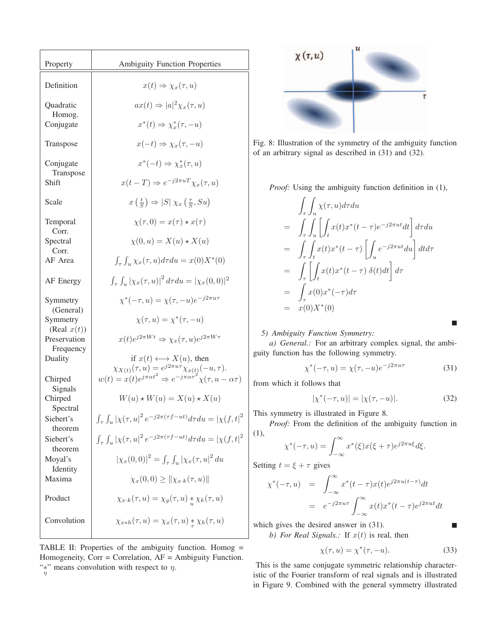| Property                                                                                                                                 | <b>Ambiguity Function Properties</b>                                                                                                                                                                                                                                                                                                                                                                       |
|------------------------------------------------------------------------------------------------------------------------------------------|------------------------------------------------------------------------------------------------------------------------------------------------------------------------------------------------------------------------------------------------------------------------------------------------------------------------------------------------------------------------------------------------------------|
| Definition                                                                                                                               | $x(t) \Rightarrow \chi_x(\tau, u)$                                                                                                                                                                                                                                                                                                                                                                         |
| Quadratic<br>Homog.<br>Conjugate                                                                                                         | $ax(t) \Rightarrow  a ^2 \chi_x(\tau, u)$<br>$x^*(t) \Rightarrow \chi^*_x(\tau, -u)$                                                                                                                                                                                                                                                                                                                       |
| Transpose                                                                                                                                | $x(-t) \Rightarrow \chi_x(\tau, -u)$                                                                                                                                                                                                                                                                                                                                                                       |
| Conjugate<br>Transpose<br>Shift                                                                                                          | $x^*(-t) \Rightarrow \chi_x^*(\tau, u)$<br>$x(t-T) \Rightarrow e^{-j2\pi u T} \chi_x(\tau, u)$                                                                                                                                                                                                                                                                                                             |
| Scale                                                                                                                                    | $x\left(\frac{t}{S}\right) \Rightarrow  S  \chi_x\left(\frac{\tau}{S}, Su\right)$                                                                                                                                                                                                                                                                                                                          |
| Temporal<br>Corr.<br>Spectral<br>Corr.<br>AF Area                                                                                        | $\chi(\tau,0) = x(\tau) \star x(\tau)$<br>$\chi(0, u) = X(u) \star X(u)$<br>$\int_{\tau} \int_{u} \chi_x(\tau, u) d\tau du = x(0) X^*(0)$                                                                                                                                                                                                                                                                  |
| AF Energy                                                                                                                                | $\int_{\tau} \int_{u}  \chi_x(\tau, u) ^2 d\tau du =  \chi_x(0, 0) ^2$                                                                                                                                                                                                                                                                                                                                     |
| Symmetry<br>(General)<br>Symmetry<br>(Real $x(t)$ )<br>Preservation<br>Frequency<br>Duality<br>Chirped<br>Signals<br>Chirped<br>Spectral | $\chi^*(-\tau, u) = \chi(\tau, -u)e^{-j2\pi u \tau}$<br>$\chi(\tau, u) = \chi^*(\tau, -u)$<br>$x(t)e^{j2\pi Wt} \Rightarrow \chi_x(\tau, u)e^{j2\pi W\tau}$<br>if $x(t) \longleftrightarrow X(u)$ , then<br>$\chi_{X(t)}(\tau,u) = e^{j2\pi u \tau} \chi_{x(t)}(-u,\tau).$<br>$w(t) = x(t)e^{j\pi \alpha t^2} \Rightarrow e^{-j\pi \alpha \tau^2} \chi(\tau,u-\alpha \tau)$<br>$W(u) * W(u) = X(u) * X(u)$ |
| Siebert's<br>theorem<br>Siebert's<br>theorem                                                                                             | $\int_{\tau} \int_{u} \left  \chi(\tau,u) \right ^2 e^{-j2\pi(\tau f - ut)} d\tau du = \left  \chi(f,t) \right ^2$<br>$\int_{\tau} \int_{u} \left  \chi(\tau,u) \right ^2 e^{-j2\pi(\tau f - ut)} d\tau du = \left  \chi(f,t) \right ^2$                                                                                                                                                                   |
| Moyal's<br>Identity<br>Maxima                                                                                                            | $ \chi_x(0,0) ^2 = \int_{\tau} \int_u  \chi_x(\tau, u ^2) du$<br>$\chi_x(0,0) \geq   \chi_{x \cdot k}(\tau, u)  $                                                                                                                                                                                                                                                                                          |
| Product                                                                                                                                  | $\chi_{x \cdot k}(\tau, u) = \chi_g(\tau, u) * \chi_k(\tau, u)$                                                                                                                                                                                                                                                                                                                                            |
| Convolution                                                                                                                              | $\chi_{x*h}(\tau,u) = \chi_x(\tau,u) * \chi_h(\tau,u)$                                                                                                                                                                                                                                                                                                                                                     |

TABLE II: Properties of the ambiguity function. Homog = Homogeneity, Corr = Correlation, AF = Ambiguity Function. "\*" means convolution with respect to  $\eta$ . η



Fig. 8: Illustration of the symmetry of the ambiguity function of an arbitrary signal as described in (31) and (32).

*Proof:* Using the ambiguity function definition in (1),

$$
\int_{\tau} \int_{u} \chi(\tau, u) d\tau du
$$
\n
$$
= \int_{\tau} \int_{u} \left[ \int_{t} x(t) x^{*}(t - \tau) e^{-j2\pi ut} dt \right] d\tau du
$$
\n
$$
= \int_{\tau} \int_{t} x(t) x^{*}(t - \tau) \left[ \int_{u} e^{-j2\pi ut} du \right] dt d\tau
$$
\n
$$
= \int_{\tau} \left[ \int_{t} x(t) x^{*}(t - \tau) \delta(t) dt \right] d\tau
$$
\n
$$
= \int_{\tau} x(0) x^{*}(-\tau) d\tau
$$
\n
$$
= x(0) X^{*}(0)
$$

*5) Ambiguity Function Symmetry:*

*a) General.:* For an arbitrary complex signal, the ambiguity function has the following symmetry.

$$
\chi^*(-\tau, u) = \chi(\tau, -u)e^{-j2\pi u\tau}
$$
\n(31)

 $\blacksquare$ 

г

from which it follows that

$$
|\chi^*(-\tau, u)| = |\chi(\tau, -u)|. \tag{32}
$$

This symmetry is illustrated in Figure 8.

*Proof:* From the definition of the ambiguity function in (1),

$$
\chi^*(-\tau, u) = \int_{-\infty}^{\infty} x^*(\xi) x(\xi + \tau) e^{j2\pi u\xi} d\xi.
$$

Setting 
$$
t = \xi + \tau
$$
 gives

$$
\chi^*(-\tau, u) = \int_{-\infty}^{\infty} x^*(t - \tau) x(t) e^{j2\pi u(t - \tau)} dt
$$
  
=  $e^{-j2\pi u\tau} \int_{-\infty}^{\infty} x(t) x^*(t - \tau) e^{j2\pi u t} dt$ 

which gives the desired answer in (31).

*b) For Real Signals.:* If  $x(t)$  is real, then

$$
\chi(\tau, u) = \chi^*(\tau, -u). \tag{33}
$$

This is the same conjugate symmetric relationship characteristic of the Fourier transform of real signals and is illustrated in Figure 9. Combined with the general symmetry illustrated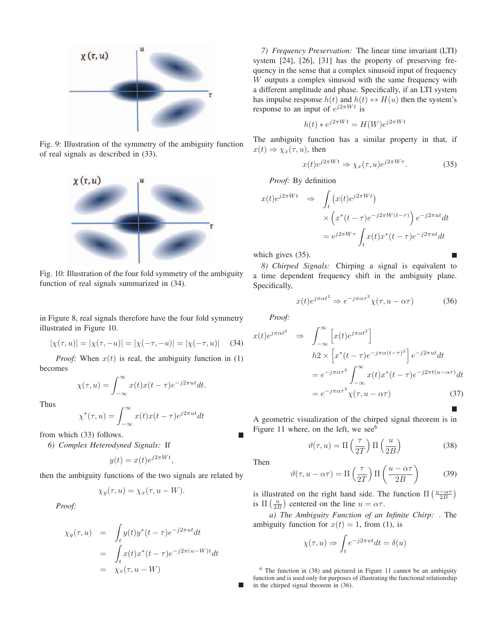

Fig. 9: Illustration of the symmetry of the ambiguity function of real signals as described in (33).



Fig. 10: Illustration of the four fold symmetry of the ambiguity function of real signals summarized in (34).

in Figure 8, real signals therefore have the four fold symmetry illustrated in Figure 10.

$$
|\chi(\tau, u)| = |\chi(\tau, -u)| = |\chi(-\tau, -u)| = |\chi(-\tau, u)| \quad (34)
$$

*Proof:* When  $x(t)$  is real, the ambiguity function in (1) becomes

$$
\chi(\tau, u) = \int_{-\infty}^{\infty} x(t)x(t-\tau)e^{-j2\pi ut}dt.
$$

Thus

$$
\chi^*(\tau, u) = \int_{-\infty}^{\infty} x(t)x(t-\tau)e^{j2\pi ut}dt
$$

from which (33) follows.

*6) Complex Heterodyned Signals:* If

$$
y(t) = x(t)e^{j2\pi Wt},
$$

then the ambiguity functions of the two signals are related by

$$
\chi_y(\tau, u) = \chi_x(\tau, u - W).
$$

*Proof:*

$$
\chi_y(\tau, u) = \int_t y(t)y^*(t - \tau)e^{-j2\pi ut}dt
$$
  
= 
$$
\int_t x(t)x^*(t - \tau)e^{-j2\pi(u-W)t}dt
$$
  
= 
$$
\chi_x(\tau, u - W)
$$

*7) Frequency Preservation:* The linear time invariant (LTI) system [24], [26], [31] has the property of preserving frequency in the sense that a complex sinusoid input of frequency W outputs a complex sinusoid with the same frequency with a different amplitude and phase. Specifically, if an LTI system has impulse response  $h(t)$  and  $h(t) \leftrightarrow H(u)$  then the system's response to an input of  $e^{j2\pi Wt}$  is

$$
h(t) * e^{j2\pi Wt} = H(W)e^{j2\pi Wt}
$$

The ambiguity function has a similar property in that, if  $x(t) \Rightarrow \chi_x(\tau, u)$ , then

$$
x(t)e^{j2\pi Wt} \Rightarrow \chi_x(\tau, u)e^{j2\pi W\tau}.
$$
 (35)

*Proof:* By definition

$$
x(t)e^{j2\pi Wt} \Rightarrow \int_t (x(t)e^{j2\pi Wt})
$$
  
 
$$
\times \left(x^*(t-\tau)e^{-j2\pi W(t-\tau)}\right)e^{-j2\pi ut}dt
$$
  
 
$$
= e^{j2\pi W\tau} \int_t x(t)x^*(t-\tau)e^{-j2\pi ut}dt
$$

which gives (35).

*8) Chirped Signals:* Chirping a signal is equivalent to a time dependent frequency shift in the ambiguity plane. Specifically,

$$
x(t)e^{j\pi\alpha t^2} \Rightarrow e^{-j\pi\alpha\tau^2}\chi(\tau, u - \alpha\tau)
$$
 (36)

*Proof:*

$$
x(t)e^{j\pi\alpha t^2} \Rightarrow \int_{-\infty}^{\infty} \left[ x(t)e^{j\pi\alpha t^2} \right]
$$
  
\n
$$
h2 \times \left[ x^*(t-\tau)e^{-j\pi\alpha(t-\tau)^2} \right] e^{-j2\pi ut} dt
$$
  
\n
$$
= e^{-j\pi\alpha\tau^2} \int_{-\infty}^{\infty} x(t)x^*(t-\tau)e^{-j2\pi t(u-\alpha\tau)} dt
$$
  
\n
$$
= e^{-j\pi\alpha\tau^2} \chi(\tau, u - \alpha\tau)
$$
\n(37)

A geometric visualization of the chirped signal theorem is in Figure 11 where, on the left, we see<sup>6</sup>

$$
\vartheta(\tau, u) = \Pi\left(\frac{\tau}{2T}\right) \Pi\left(\frac{u}{2B}\right) \tag{38}
$$

Then

$$
\vartheta(\tau, u - \alpha \tau) = \Pi\left(\frac{\tau}{2T}\right) \Pi\left(\frac{u - \alpha \tau}{2B}\right) \tag{39}
$$

is illustrated on the right hand side. The function  $\Pi\left(\frac{u-\alpha\tau}{2B}\right)$ <br>is  $\Pi\left(\frac{u}{2B}\right)$  centered on the line  $u-\alpha\tau$ is  $\Pi\left(\frac{u}{2B}\right)$  centered on the line  $u = \alpha \tau$ .

 $\begin{array}{l}\n\text{(2B)} \text{ centered on the line } a = \alpha_1. \\
\text{(a) The Ambiguity Function of an Infinite Chirp: . The\n}\end{array}$ ambiguity function for  $x(t)=1$ , from (1), is

$$
\chi(\tau, u) \Rightarrow \int_t e^{-j2\pi ut} dt = \delta(u)
$$

<sup>6</sup> The function in (38) and pictured in Figure 11 cannot be an ambiguity function and is used only for purposes of illustrating the functional relationship in the chirped signal theorem in (36).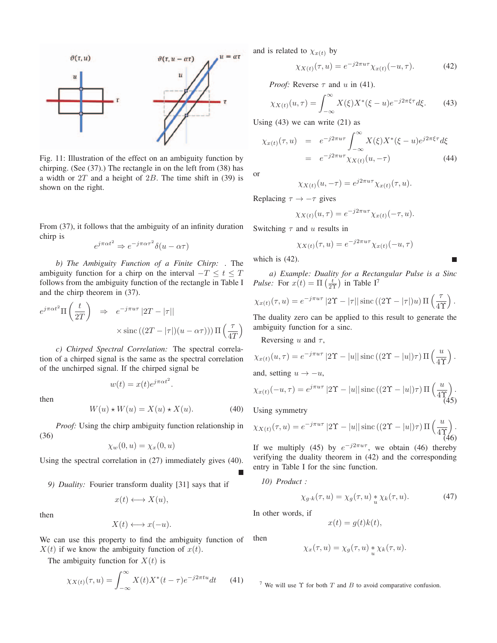

Fig. 11: Illustration of the effect on an ambiguity function by chirping. (See (37).) The rectangle in on the left from (38) has a width or  $2T$  and a height of  $2B$ . The time shift in (39) is shown on the right.

From (37), it follows that the ambiguity of an infinity duration chirp is

$$
e^{j\pi\alpha t^2} \Rightarrow e^{-j\pi\alpha\tau^2} \delta(u - \alpha\tau)
$$

*b) The Ambiguity Function of a Finite Chirp:* . The ambiguity function for a chirp on the interval  $-T \le t \le T$ follows from the ambiguity function of the rectangle in Table I and the chirp theorem in (37).

$$
e^{j\pi\alpha t^2} \Pi\left(\frac{t}{2T}\right) \Rightarrow e^{-j\pi u\tau} |2T - |\tau||
$$
  
 
$$
\times \operatorname{sinc}\left((2T - |\tau|)(u - \alpha\tau)\right) \Pi\left(\frac{\tau}{4T}\right)
$$

*c) Chirped Spectral Correlation:* The spectral correlation of a chirped signal is the same as the spectral correlation of the unchirped signal. If the chirped signal be

$$
w(t) = x(t)e^{j\pi\alpha t^2}.
$$

then

$$
W(u) \star W(u) = X(u) \star X(u). \tag{40}
$$

*Proof:* Using the chirp ambiguity function relationship in (36)

$$
\chi_w(0, u) = \chi_x(0, u)
$$

Using the spectral correlation in (27) immediately gives (40).

*9) Duality:* Fourier transform duality [31] says that if

$$
x(t) \longleftrightarrow X(u),
$$

then

$$
X(t) \longleftrightarrow x(-u).
$$

We can use this property to find the ambiguity function of  $X(t)$  if we know the ambiguity function of  $x(t)$ .

The ambiguity function for  $X(t)$  is

$$
\chi_{X(t)}(\tau, u) = \int_{-\infty}^{\infty} X(t)X^*(t - \tau)e^{-j2\pi tu}dt \qquad (41)
$$

and is related to  $\chi_{x(t)}$  by

$$
\chi_{X(t)}(\tau, u) = e^{-j2\pi u\tau} \chi_{x(t)}(-u, \tau). \tag{42}
$$

*Proof:* Reverse  $\tau$  and u in (41).

$$
\chi_{X(t)}(u,\tau) = \int_{-\infty}^{\infty} X(\xi) X^*(\xi - u) e^{-j2\pi \xi \tau} d\xi.
$$
 (43)

Using  $(43)$  we can write  $(21)$  as

$$
\chi_{x(t)}(\tau, u) = e^{-j2\pi u\tau} \int_{-\infty}^{\infty} X(\xi) X^*(\xi - u) e^{j2\pi \xi \tau} d\xi
$$

$$
= e^{-j2\pi u\tau} \chi_{X(t)}(u, -\tau) \tag{44}
$$

or

$$
\chi_{X(t)}(u,-\tau) = e^{j2\pi u\tau} \chi_{x(t)}(\tau,u).
$$

Replacing  $\tau \to -\tau$  gives

$$
\chi_{X(t)}(u,\tau) = e^{-j2\pi u\tau} \chi_{x(t)}(-\tau,u).
$$

Switching  $\tau$  and u results in

$$
\chi_{X(t)}(\tau, u) = e^{-j2\pi u \tau} \chi_{x(t)}(-u, \tau)
$$

which is (42).

*a) Example: Duality for a Rectangular Pulse is a Sinc Pulse:* For  $x(t) = \Pi \left( \frac{t}{2\Upsilon} \right)$  in Table I<sup>7</sup>

$$
\chi_{x(t)}(\tau, u) = e^{-j\pi u \tau} |2\Upsilon - |\tau| |\operatorname{sinc}((2\Upsilon - |\tau|)u) \Pi\left(\frac{\tau}{4\Upsilon}\right).
$$

The duality zero can be applied to this result to generate the ambiguity function for a sinc.

Reversing u and  $\tau$ ,

$$
\chi_{x(t)}(u,\tau) = e^{-j\pi u\tau} |2\Upsilon - |u||\operatorname{sinc}((2\Upsilon - |u|)\tau) \Pi\left(\frac{u}{4\Upsilon}\right).
$$
  
and, setting  $u \to -u$ ,

$$
\chi_{x(t)}(-u,\tau) = e^{j\pi u\tau} |2\Upsilon - |u||\operatorname{sinc}((2\Upsilon - |u|)\tau) \Pi\left(\frac{u}{4\Upsilon}\right).
$$
\n(45)

Using symmetry

$$
\chi_{X(t)}(\tau, u) = e^{-j\pi u \tau} |2\Upsilon - |u|| \operatorname{sinc} \left( (2\Upsilon - |u|) \tau \right) \Pi \left( \frac{u}{4\Upsilon} \right). \tag{46}
$$

If we multiply (45) by  $e^{-j2\pi u\tau}$ , we obtain (46) thereby verifying the duality theorem in (42) and the corresponding entry in Table I for the sinc function.

*10) Product :*

$$
\chi_{g \cdot k}(\tau, u) = \chi_g(\tau, u) * \chi_k(\tau, u). \tag{47}
$$

In other words, if

then

$$
x(t) = g(t)k(t),
$$

$$
\chi_x(\tau, u) = \chi_g(\tau, u) * \chi_k(\tau, u).
$$

<sup>7</sup> We will use  $\Upsilon$  for both  $T$  and  $B$  to avoid comparative confusion.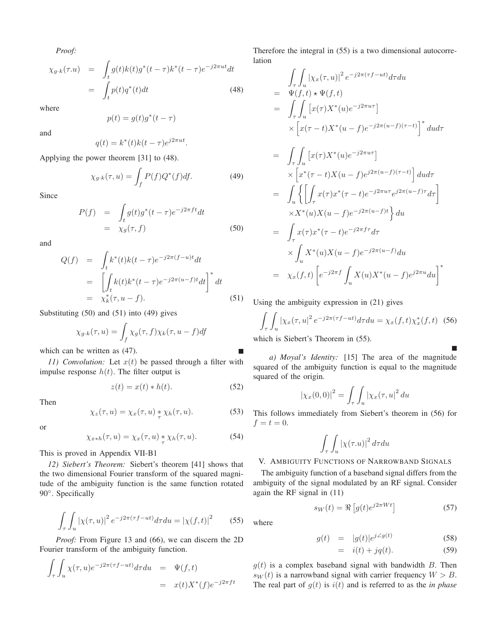*Proof:*

$$
\chi_{g \cdot k}(\tau.u) = \int_t g(t)k(t)g^*(t-\tau)k^*(t-\tau)e^{-j2\pi ut}dt
$$

$$
= \int_t p(t)q^*(t)dt
$$
(48)

where

$$
p(t) = g(t)g^*(t - \tau)
$$

 $q(t) = k^*(t)k(t - \tau)e^{j2\pi ut}.$ 

and

Applying the power theorem 
$$
[31]
$$
 to  $(48)$ .

$$
\chi_{g \cdot k}(\tau, u) = \int_{f} P(f) Q^*(f) df.
$$
 (49)

Since

$$
P(f) = \int_{t} g(t)g^{*}(t-\tau)e^{-j2\pi ft}dt
$$
  
=  $\chi_{g}(\tau, f)$  (50)

and

$$
Q(f) = \int_t k^*(t)k(t-\tau)e^{-j2\pi(f-u)t}dt
$$
  
\n
$$
= \left[\int_t k(t)k^*(t-\tau)e^{-j2\pi(u-f)t}dt\right]^*dt
$$
  
\n
$$
= \chi_k^*(\tau, u-f).
$$
 (51)

Substituting (50) and (51) into (49) gives

$$
\chi_{g \cdot k}(\tau, u) = \int_f \chi_g(\tau, f) \chi_k(\tau, u - f) df
$$

which can be written as (47).

*11) Convolution:* Let  $x(t)$  be passed through a filter with impulse response  $h(t)$ . The filter output is

$$
z(t) = x(t) * h(t).
$$
 (52)

Then

$$
\chi_z(\tau, u) = \chi_x(\tau, u) \underset{\tau}{*} \chi_h(\tau, u). \tag{53}
$$

or

$$
\chi_{x*h}(\tau, u) = \chi_x(\tau, u) * \chi_h(\tau, u). \tag{54}
$$

This is proved in Appendix VII-B1

*12) Siebert's Theorem:* Siebert's theorem [41] shows that the two dimensional Fourier transform of the squared magnitude of the ambiguity function is the same function rotated 90°. Specifically

$$
\int_{\tau} \int_{u} \left| \chi(\tau, u) \right|^2 e^{-j2\pi(\tau f - ut)} d\tau du = \left| \chi(f, t) \right|^2 \tag{55}
$$

*Proof:* From Figure 13 and (66), we can discern the 2D Fourier transform of the ambiguity function.

$$
\int_{\tau} \int_{u} \chi(\tau, u) e^{-j2\pi(\tau f - ut)} d\tau du = \Psi(f, t)
$$

$$
= x(t) X^{*}(f) e^{-j2\pi ft}
$$

Therefore the integral in (55) is a two dimensional autocorrelation

$$
\int_{\tau} \int_{u} |\chi_x(\tau, u)|^2 e^{-j2\pi(\tau f - ut)} d\tau du
$$
\n
$$
= \Psi(f, t) \star \Psi(f, t)
$$
\n
$$
= \int_{\tau} \int_{u} [x(\tau)X^*(u)e^{-j2\pi u \tau}]
$$
\n
$$
\times [x(\tau - t)X^*(u - f)e^{-j2\pi(u - f)(\tau - t)}]^* dud\tau
$$
\n
$$
= \int_{\tau} \int_{u} [x(\tau)X^*(u)e^{-j2\pi u \tau}]
$$
\n
$$
\times [x^*(\tau - t)X(u - f)e^{j2\pi(u - f)(\tau - t)}] dud\tau
$$
\n
$$
= \int_{u} \left\{ \int_{\tau} x(\tau)x^*(\tau - t)e^{-j2\pi u \tau}e^{j2\pi(u - f)\tau} d\tau \right\}
$$
\n
$$
\times X^*(u)X(u - f)e^{-j2\pi f \tau} d\tau
$$
\n
$$
\times \int_{u} X^*(u)X(u - f)e^{-j2\pi(u - f)} du
$$
\n
$$
= \chi_x(f, t) \left[ e^{-j2\pi f} \int_{u} X(u)X^*(u - f)e^{j2\pi u} du \right]^*
$$

Using the ambiguity expression in (21) gives

$$
\int_{\tau} \int_{u} |\chi_x(\tau, u|^2 e^{-j2\pi(\tau f - ut)} d\tau du = \chi_x(f, t) \chi_x^*(f, t) \quad (56)
$$

which is Siebert's Theorem in (55).

*a) Moyal's Identity:* [15] The area of the magnitude squared of the ambiguity function is equal to the magnitude squared of the origin.

$$
|\chi_x(0,0)|^2 = \int_{\tau} \int_{u} |\chi_x(\tau, u|^2 du)
$$

This follows immediately from Siebert's theorem in (56) for  $f = t = 0.$ 

$$
\int_\tau\int_u\left|\chi(\tau.u)\right|^2d\tau du
$$

# V. AMBIGUITY FUNCTIONS OF NARROWBAND SIGNALS

The ambiguity function of a baseband signal differs from the ambiguity of the signal modulated by an RF signal. Consider again the RF signal in (11)

$$
s_W(t) = \Re \left[ g(t)e^{j2\pi Wt} \right] \tag{57}
$$

where

Г

$$
g(t) = |g(t)|e^{j\angle g(t)} \tag{58}
$$

$$
= i(t) + jq(t). \tag{59}
$$

 $g(t)$  is a complex baseband signal with bandwidth B. Then  $s_W(t)$  is a narrowband signal with carrier frequency  $W > B$ . The real part of  $g(t)$  is  $i(t)$  and is referred to as the *in phase*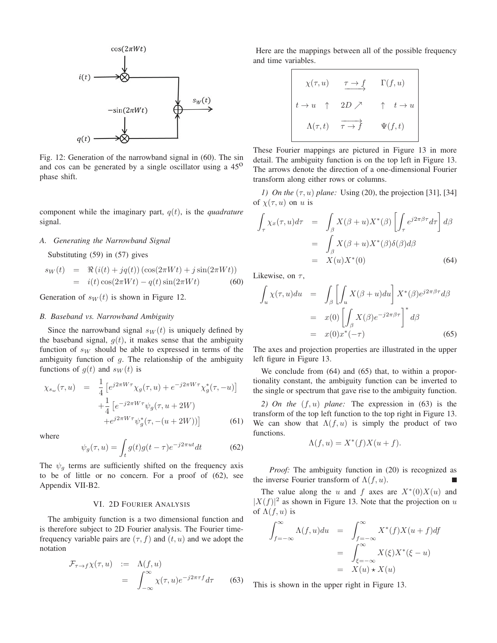

Fig. 12: Generation of the narrowband signal in (60). The sin and cos can be generated by a single oscillator using a  $45^{\circ}$ phase shift.

component while the imaginary part, <sup>q</sup>(t), is the *quadrature* signal.

# *A. Generating the Narrowband Signal*

Substituting (59) in (57) gives

$$
s_W(t) = \Re(i(t) + jq(t)) (\cos(2\pi Wt) + j\sin(2\pi Wt))
$$
  
=  $i(t)\cos(2\pi Wt) - q(t)\sin(2\pi Wt)$  (60)

Generation of  $s_W(t)$  is shown in Figure 12.

#### *B. Baseband vs. Narrowband Ambiguity*

Since the narrowband signal  $s_W(t)$  is uniquely defined by the baseband signal,  $g(t)$ , it makes sense that the ambiguity function of  $s_W$  should be able to expressed in terms of the ambiguity function of  $q$ . The relationship of the ambiguity functions of  $g(t)$  and  $s_W(t)$  is

$$
\chi_{s_w}(\tau, u) = \frac{1}{4} \left[ e^{j2\pi W \tau} \chi_g(\tau, u) + e^{-j2\pi W \tau} \chi_g^*(\tau, -u) \right] + \frac{1}{4} \left[ e^{-j2\pi W \tau} \psi_g(\tau, u + 2W) + e^{j2\pi W \tau} \psi_g^*(\tau, -(u + 2W)) \right]
$$
(61)

where

$$
\psi_g(\tau, u) = \int_t g(t)g(t-\tau)e^{-j2\pi ut}dt
$$
\n(62)

The  $\psi_g$  terms are sufficiently shifted on the frequency axis<br>to be of little or no concern. For a proof of (62), see to be of little or no concern. For a proof of (62), see Appendix VII-B2.

# VI. 2D FOURIER ANALYSIS

The ambiguity function is a two dimensional function and is therefore subject to 2D Fourier analysis. The Fourier timefrequency variable pairs are  $(\tau, f)$  and  $(t, u)$  and we adopt the notation

$$
\mathcal{F}_{\tau \to f} \chi(\tau, u) := \Lambda(f, u)
$$
  
= 
$$
\int_{-\infty}^{\infty} \chi(\tau, u) e^{-j2\pi \tau f} d\tau
$$
 (63)

Here are the mappings between all of the possible frequency and time variables.

$$
\chi(\tau, u) \xrightarrow{\tau \to f} \Gamma(f, u)
$$
  

$$
t \to u \qquad \uparrow \qquad 2D \nearrow \qquad \uparrow \qquad t \to u
$$
  

$$
\Lambda(\tau, t) \qquad \overrightarrow{\tau \to f} \qquad \Psi(f, t)
$$

These Fourier mappings are pictured in Figure 13 in more detail. The ambiguity function is on the top left in Figure 13. The arrows denote the direction of a one-dimensional Fourier transform along either rows or columns.

*1) On the*  $(\tau, u)$  *plane:* Using (20), the projection [31], [34] of  $\chi(\tau, u)$  on u is

$$
\int_{\tau} \chi_x(\tau, u) d\tau = \int_{\beta} X(\beta + u) X^*(\beta) \left[ \int_{\tau} e^{j2\pi \beta \tau} d\tau \right] d\beta
$$

$$
= \int_{\beta} X(\beta + u) X^*(\beta) \delta(\beta) d\beta
$$

$$
= X(u) X^*(0) \qquad (64)
$$

Likewise, on  $\tau$ ,

$$
\int_{u} \chi(\tau, u) du = \int_{\beta} \left[ \int_{u} X(\beta + u) du \right] X^{*}(\beta) e^{j2\pi \beta \tau} d\beta
$$

$$
= x(0) \left[ \int_{\beta} X(\beta) e^{-j2\pi \beta \tau} \right]^{*} d\beta
$$

$$
= x(0) x^{*}(-\tau) \qquad (65)
$$

The axes and projection properties are illustrated in the upper left figure in Figure 13.

We conclude from  $(64)$  and  $(65)$  that, to within a proportionality constant, the ambiguity function can be inverted to the single or spectrum that gave rise to the ambiguity function.

*2) On the* (f, u) *plane:* The expression in (63) is the transform of the top left function to the top right in Figure 13. We can show that  $\Lambda(f, u)$  is simply the product of two functions.

$$
\Lambda(f, u) = X^*(f)X(u+f).
$$

*Proof:* The ambiguity function in (20) is recognized as the inverse Fourier transform of  $\Lambda(f, u)$ .

The value along the u and f axes are  $X*(0)X(u)$  and  $|X(f)|^2$  as shown in Figure 13. Note that the projection on u of  $\Lambda(f, u)$  is of  $\Lambda(f, u)$  is

$$
\int_{f=-\infty}^{\infty} \Lambda(f, u) du = \int_{f=-\infty}^{\infty} X^*(f) X(u+f) df
$$

$$
= \int_{\xi=-\infty}^{\infty} X(\xi) X^*(\xi - u)
$$

$$
= X(u) * X(u)
$$

This is shown in the upper right in Figure 13.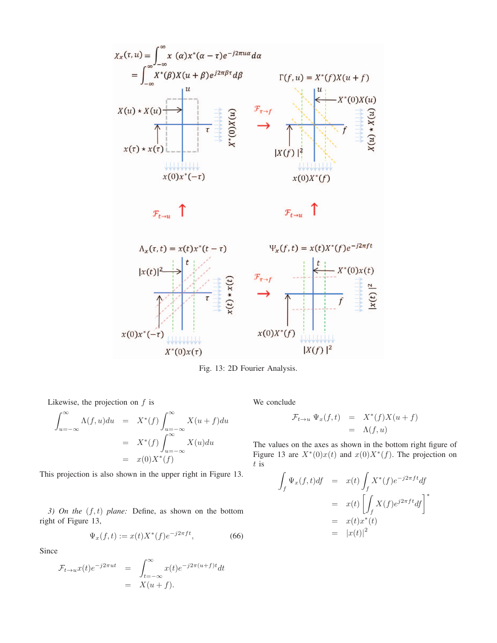

Fig. 13: 2D Fourier Analysis.

Likewise, the projection on  $f$  is

$$
\int_{u=-\infty}^{\infty} \Lambda(f, u) du = X^*(f) \int_{u=-\infty}^{\infty} X(u+f) du
$$

$$
= X^*(f) \int_{u=-\infty}^{\infty} X(u) du
$$

$$
= x(0)X^*(f)
$$

This projection is also shown in the upper right in Figure 13.

*3) On the* (f, t) *plane:* Define, as shown on the bottom right of Figure 13,

$$
\Psi_x(f, t) := x(t)X^*(f)e^{-j2\pi ft},
$$
\n(66)

Since

$$
\mathcal{F}_{t \to u} x(t) e^{-j2\pi ut} = \int_{t=-\infty}^{\infty} x(t) e^{-j2\pi (u+f)t} dt
$$
  
=  $X(u+f)$ .

We conclude

$$
\mathcal{F}_{t \to u} \Psi_x(f, t) = X^*(f)X(u+f)
$$
  
=  $\Lambda(f, u)$ 

The values on the axes as shown in the bottom right figure of Figure 13 are  $X^*(0)x(t)$  and  $x(0)X^*(f)$ . The projection on  $t$  is

$$
\int_{f} \Psi_x(f, t) df = x(t) \int_{f} X^*(f) e^{-j2\pi ft} df
$$
\n
$$
= x(t) \left[ \int_{f} X(f) e^{j2\pi ft} df \right]^*
$$
\n
$$
= x(t) x^*(t)
$$
\n
$$
= |x(t)|^2
$$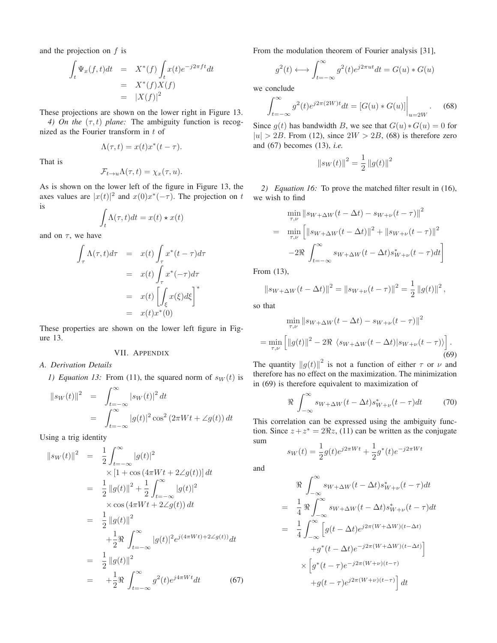and the projection on  $f$  is

$$
\int_t \Psi_x(f, t)dt = X^*(f) \int_t x(t)e^{-j2\pi ft}dt
$$
  
=  $X^*(f)X(f)$   
=  $|X(f)|^2$ 

These projections are shown on the lower right in Figure 13.

*4) On the*  $(\tau, t)$  *plane:* The ambiguity function is recognized as the Fourier transform in t of

$$
\Lambda(\tau, t) = x(t)x^*(t - \tau).
$$

That is

$$
\mathcal{F}_{t\to u}\Lambda(\tau,t) = \chi_x(\tau,u).
$$

As is shown on the lower left of the figure in Figure 13, the axes values are  $|x(t)|^2$  and  $x(0)x^*(-\tau)$ . The projection on t is

$$
\int_t \Lambda(\tau, t)dt = x(t) \star x(t)
$$

and on  $\tau$ , we have

$$
\int_{\tau} \Lambda(\tau, t) d\tau = x(t) \int_{\tau} x^*(t - \tau) d\tau
$$
\n
$$
= x(t) \int_{\tau} x^*(-\tau) d\tau
$$
\n
$$
= x(t) \left[ \int_{\xi} x(\xi) d\xi \right]^*
$$
\n
$$
= x(t) x^*(0)
$$

These properties are shown on the lower left figure in Figure 13.

## VII. APPENDIX

*A. Derivation Details*

*1) Equation 13:* From (11), the squared norm of  $s_W(t)$  is

$$
||s_W(t)||^2 = \int_{t=-\infty}^{\infty} |s_W(t)|^2 dt
$$
  
= 
$$
\int_{t=-\infty}^{\infty} |g(t)|^2 \cos^2(2\pi Wt + \angle g(t)) dt
$$

Using a trig identity

$$
||s_{W}(t)||^{2} = \frac{1}{2} \int_{t=-\infty}^{\infty} |g(t)|^{2}
$$
  
\n
$$
\times [1 + \cos(4\pi Wt + 2\angle g(t))] dt
$$
  
\n
$$
= \frac{1}{2} ||g(t)||^{2} + \frac{1}{2} \int_{t=-\infty}^{\infty} |g(t)|^{2}
$$
  
\n
$$
\times \cos(4\pi Wt + 2\angle g(t)) dt
$$
  
\n
$$
= \frac{1}{2} ||g(t)||^{2}
$$
  
\n
$$
+ \frac{1}{2} \Re \int_{t=-\infty}^{\infty} |g(t)|^{2} e^{j(4\pi Wt) + 2\angle g(t)} dt
$$
  
\n
$$
= \frac{1}{2} ||g(t)||^{2}
$$
  
\n
$$
= + \frac{1}{2} \Re \int_{t=-\infty}^{\infty} g^{2}(t) e^{j4\pi Wt} dt
$$
(67)

From the modulation theorem of Fourier analysis [31],

$$
g^{2}(t) \longleftrightarrow \int_{t=-\infty}^{\infty} g^{2}(t)e^{j2\pi ut}dt = G(u) * G(u)
$$

we conclude

$$
\int_{t=-\infty}^{\infty} g^2(t)e^{j2\pi(2W)t}dt = [G(u) * G(u)]\Big|_{u=2W}.
$$
 (68)

Since  $q(t)$  has bandwidth B, we see that  $G(u) * G(u) = 0$  for  $|u| > 2B$ . From (12), since  $2W > 2B$ , (68) is therefore zero and (67) becomes (13), *i.e.*

$$
||s_W(t)||^2 = \frac{1}{2} ||g(t)||^2
$$

*2) Equation 16:* To prove the matched filter result in (16), we wish to find

$$
\min_{\tau,\nu} \|s_{W+\Delta W}(t - \Delta t) - s_{W+\nu}(t - \tau)\|^2
$$
\n
$$
= \min_{\tau,\nu} \left[ \|s_{W+\Delta W}(t - \Delta t)\|^2 + \|s_{W+\nu}(t - \tau)\|^2 \right]
$$
\n
$$
-2\Re \int_{t=-\infty}^{\infty} s_{W+\Delta W}(t - \Delta t)s_{W+\nu}^*(t - \tau)dt \right]
$$

From (13),

 $||s_{W+\Delta W}(t-\Delta t)||^2 = ||s_{W+\nu}(t-\tau)||^2 = \frac{1}{2} ||g(t)||^2,$ 

so that

$$
\min_{\tau,\nu} \|s_{W+\Delta W}(t - \Delta t) - s_{W+\nu}(t - \tau)\|^2
$$
  
= 
$$
\min_{\tau,\nu} \left[ \|g(t)\|^2 - 2\Re \langle s_{W+\Delta W}(t - \Delta t)|s_{W+\nu}(t - \tau) \rangle \right].
$$
 (69)

The quantity  $||g(t)||^2$  is not a function of either  $\tau$  or  $\nu$  and therefore has no effect on the maximization. The minimization in (69) is therefore equivalent to maximization of

$$
\Re \int_{-\infty}^{\infty} s_{W+\Delta W}(t-\Delta t) s_{W+\nu}^*(t-\tau) dt \tag{70}
$$

This correlation can be expressed using the ambiguity function. Since  $z + z^* = 2\Re z$ , (11) can be written as the conjugate sum

$$
s_W(t) = \frac{1}{2}g(t)e^{j2\pi Wt} + \frac{1}{2}g^*(t)e^{-j2\pi Wt}
$$

and

$$
\Re \int_{-\infty}^{\infty} s_{W+\Delta W}(t - \Delta t) s_{W+\nu}^*(t - \tau) dt
$$
\n
$$
= \frac{1}{4} \Re \int_{-\infty}^{\infty} s_{W+\Delta W}(t - \Delta t) s_{W+\nu}^*(t - \tau) dt
$$
\n
$$
= \frac{1}{4} \int_{-\infty}^{\infty} \left[ g(t - \Delta t) e^{j2\pi (W + \Delta W)(t - \Delta t)} \right]
$$
\n
$$
\times \left[ g^*(t - \Delta t) e^{-j2\pi (W + \Delta W)(t - \Delta t)} \right]
$$
\n
$$
\times \left[ g^*(t - \tau) e^{-j2\pi (W + \nu)(t - \tau)} \right] dt
$$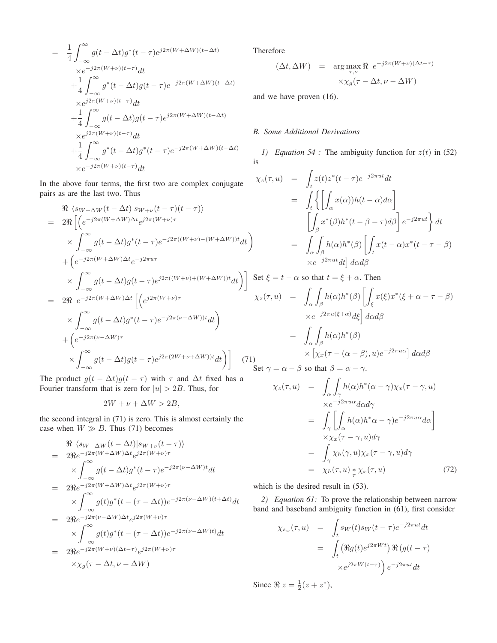$$
= \frac{1}{4} \int_{-\infty}^{\infty} g(t - \Delta t) g^*(t - \tau) e^{j2\pi (W + \Delta W)(t - \Delta t)}
$$
  
\n
$$
\times e^{-j2\pi (W + \nu)(t - \tau)} dt
$$
  
\n
$$
+ \frac{1}{4} \int_{-\infty}^{\infty} g^*(t - \Delta t) g(t - \tau) e^{-j2\pi (W + \Delta W)(t - \Delta t)}
$$
  
\n
$$
\times e^{j2\pi (W + \nu)(t - \tau)} dt
$$
  
\n
$$
+ \frac{1}{4} \int_{-\infty}^{\infty} g(t - \Delta t) g(t - \tau) e^{j2\pi (W + \Delta W)(t - \Delta t)}
$$
  
\n
$$
\times e^{j2\pi (W + \nu)(t - \tau)} dt
$$
  
\n
$$
+ \frac{1}{4} \int_{-\infty}^{\infty} g^*(t - \Delta t) g^*(t - \tau) e^{-j2\pi (W + \Delta W)(t - \Delta t)}
$$
  
\n
$$
\times e^{-j2\pi (W + \nu)(t - \tau)} dt
$$

In the above four terms, the first two are complex conjugate pairs as are the last two. Thus

$$
\mathcal{R} \langle s_{W+\Delta W}(t-\Delta t)|s_{W+\nu}(t-\tau)(t-\tau)\rangle
$$
\n
$$
= 2\Re\left[\left(e^{-j2\pi(W+\Delta W)\Delta t}e^{j2\pi(W+\nu)\tau}\right.\times \int_{-\infty}^{\infty} g(t-\Delta t)g^*(t-\tau)e^{-j2\pi((W+\nu)-(W+\Delta W))t}dt\right)\right]
$$
\n
$$
+ \left(e^{-j2\pi(W+\Delta W)\Delta t}e^{-j2\pi u\tau}\right.\times \int_{-\infty}^{\infty} g(t-\Delta t)g(t-\tau)e^{j2\pi((W+\nu)+(W+\Delta W))t}dt\right)\right] S
$$
\n
$$
= 2\Re\ e^{-j2\pi(W+\Delta W)\Delta t}\left[\left(e^{j2\pi(W+\nu)\tau}\right.\times \int_{-\infty}^{\infty} g(t-\Delta t)g^*(t-\tau)e^{-j2\pi(\nu-\Delta W))t}dt\right)
$$
\n
$$
+ \left(e^{-j2\pi(\nu-\Delta W)\tau}\right.\times \int_{-\infty}^{\infty} g(t-\Delta t)g(t-\tau)e^{j2\pi(2W+\nu+\Delta W))t}dt\right)\right]
$$
\n(71)

The product  $g(t - \Delta t)g(t - \tau)$  with  $\tau$  and  $\Delta t$  fixed has a Fourier transform that is zero for  $|u| > 2B$ . Thus, for

$$
2W + \nu + \Delta W > 2B,
$$

the second integral in (71) is zero. This is almost certainly the case when  $W \gg B$ . Thus (71) becomes

$$
\mathcal{R} \langle s_{W-\Delta W}(t-\Delta t)|s_{W+\nu}(t-\tau) \rangle
$$
\n
$$
= 2\Re e^{-j2\pi(W+\Delta W)\Delta t}e^{j2\pi(W+\nu)\tau}
$$
\n
$$
\times \int_{-\infty}^{\infty} g(t-\Delta t)g^*(t-\tau)e^{-j2\pi(\nu-\Delta W)t}dt
$$
\n
$$
= 2\Re e^{-j2\pi(W+\Delta W)\Delta t}e^{j2\pi(W+\nu)\tau}
$$
\n
$$
\times \int_{-\infty}^{\infty} g(t)g^*(t-(\tau-\Delta t))e^{-j2\pi(\nu-\Delta W)(t+\Delta t)}dt
$$
\n
$$
= 2\Re e^{-j2\pi(\nu-\Delta W)\Delta t}e^{j2\pi(W+\nu)\tau}
$$
\n
$$
\times \int_{-\infty}^{\infty} g(t)g^*(t-(\tau-\Delta t))e^{-j2\pi(\nu-\Delta W)t}dt
$$
\n
$$
= 2\Re e^{-j2\pi(W+\nu)(\Delta t-\tau)}e^{j2\pi(W+\nu)\tau}
$$
\n
$$
\times \chi_g(\tau-\Delta t, \nu-\Delta W)
$$

Therefore

$$
(\Delta t, \Delta W) = \arg \max_{\tau, \nu} \Re e^{-j2\pi (W + \nu)(\Delta t - \tau)}
$$

$$
\times \chi_g(\tau - \Delta t, \nu - \Delta W)
$$

and we have proven (16).

### *B. Some Additional Derivations*

*1) Equation 54 :* The ambiguity function for  $z(t)$  in (52) is

$$
\chi_z(\tau, u) = \int_t z(t) z^*(t - \tau) e^{-j2\pi ut} dt
$$
  
\n
$$
= \int_t \left\{ \left[ \int_\alpha x(\alpha) h(t - \alpha) d\alpha \right] \right\}
$$
  
\n
$$
\left[ \int_\beta x^*(\beta) h^*(t - \beta - \tau) d\beta \right] e^{-j2\pi ut} dt
$$
  
\n
$$
= \int_\alpha \int_\beta h(\alpha) h^*(\beta) \left[ \int_t x(t - \alpha) x^*(t - \tau - \beta) \right]
$$
  
\n
$$
\times e^{-j2\pi ut} dt \right] d\alpha d\beta
$$

Set 
$$
\xi = t - \alpha
$$
 so that  $t = \xi + \alpha$ . Then  
\n
$$
\chi_z(\tau, u) = \int_{\alpha} \int_{\beta} h(\alpha) h^*(\beta) \left[ \int_{\xi} x(\xi) x^*(\xi + \alpha - \tau - \beta) \right]
$$
\n
$$
\times e^{-j2\pi u(\xi + \alpha)} d\xi \right] d\alpha d\beta
$$
\n
$$
= \int_{\alpha} \int_{\beta} h(\alpha) h^*(\beta)
$$
\n
$$
\times \left[ \chi_x(\tau - (\alpha - \beta), u) e^{-j2\pi u \alpha} \right] d\alpha d\beta
$$
\nSet  $\gamma = \alpha - \beta$  so that  $\beta = \alpha - \gamma$ .

$$
\chi_z(\tau, u) = \int_{\alpha} \int_{\gamma} h(\alpha) h^*(\alpha - \gamma) \chi_x(\tau - \gamma, u)
$$
  
\n
$$
\times e^{-j2\pi u\alpha} d\alpha d\gamma
$$
  
\n
$$
= \int_{\gamma} \left[ \int_{\alpha} h(\alpha) h^*\alpha - \gamma e^{-j2\pi u\alpha} d\alpha \right]
$$
  
\n
$$
\times \chi_x(\tau - \gamma, u) d\gamma
$$
  
\n
$$
= \int_{\gamma} \chi_h(\gamma, u) \chi_x(\tau - \gamma, u) d\gamma
$$
  
\n
$$
= \chi_h(\tau, u) * \chi_x(\tau, u) \qquad (72)
$$

which is the desired result in (53).

*2) Equation 61:* To prove the relationship between narrow band and baseband ambiguity function in (61), first consider

$$
\chi_{s_w}(\tau, u) = \int_t s_W(t) s_W(t - \tau) e^{-j2\pi ut} dt
$$
  
= 
$$
\int_t (\Re g(t) e^{j2\pi Wt}) \Re(g(t - \tau))
$$
  

$$
\times e^{j2\pi W(t - \tau)} e^{-j2\pi ut} dt
$$

Since  $\Re z = \frac{1}{2}(z + z^*),$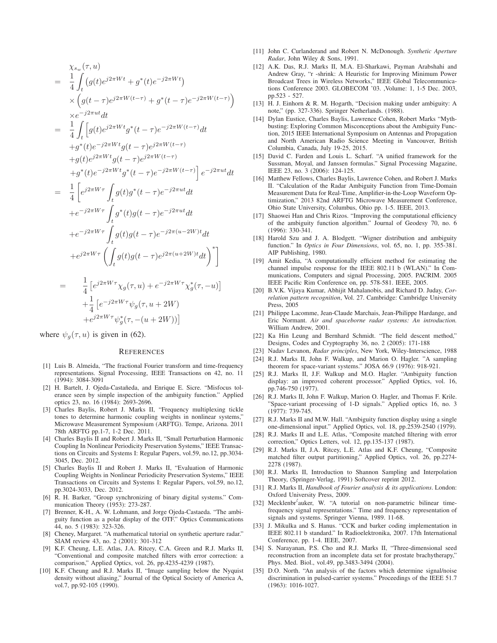$$
\chi_{s_w}(\tau, u) \n= \frac{1}{4} \int_t (g(t)e^{j2\pi Wt} + g^*(t)e^{-j2\pi Wt}) \n\times (g(t-\tau)e^{j2\pi W(t-\tau)} + g^*(t-\tau)e^{-j2\pi W(t-\tau)}) \n\times e^{-j2\pi ut}dt \n= \frac{1}{4} \int_t [g(t)e^{j2\pi Wt}g^*(t-\tau)e^{-j2\pi W(t-\tau)}dt \n+g^*(t)e^{-j2\pi Wt}g(t-\tau)e^{j2\pi W(t-\tau)} \n+g(t)e^{j2\pi Wt}g^*(t-\tau)e^{j2\pi W(t-\tau)}] e^{-j2\pi ut}dt \n= \frac{1}{4} \left[ e^{j2\pi W\tau} \int_t g(t)g^*(t-\tau)e^{-j2\pi ut}dt \n+e^{-j2\pi W\tau} \int_t g^*(t)g(t-\tau)e^{-j2\pi ut}dt \n+e^{-j2\pi W\tau} \int_t g^*(t)g(t-\tau)e^{-j2\pi (u-2W)t}dt \n+e^{j2\pi W\tau} \left( \int_t g(t)g(t-\tau)e^{j2\pi (u+2W)t}dt \right)^* \right]
$$

$$
= \frac{1}{4} \left[ e^{j2\pi W\tau} \chi_g(\tau, u) + e^{-j2\pi W\tau} \chi_g^*(\tau, -u) \right] + \frac{1}{4} \left[ e^{-j2\pi W\tau} \psi_g(\tau, u + 2W) + e^{j2\pi W\tau} \psi_g^*(\tau, -(u + 2W)) \right]
$$

where  $\psi_q(\tau, u)$  is given in (62).

#### **REFERENCES**

- [1] Luis B. Almeida, "The fractional Fourier transform and time-frequency representations. Signal Processing, IEEE Transactions on 42, no. 11 (1994): 3084-3091
- [2] H. Bartelt, J. Ojeda-Castañeda, and Enrique E. Sicre. "Misfocus tolerance seen by simple inspection of the ambiguity function." Applied optics 23, no. 16 (1984): 2693-2696.
- [3] Charles Baylis, Robert J. Marks II, "Frequency multiplexing tickle tones to determine harmonic coupling weights in nonlinear systems," Microwave Measurement Symposium (ARFTG). Tempe, Arizona. 2011 78th ARFTG pp.1-7, 1-2 Dec. 2011.
- [4] Charles Baylis II and Robert J. Marks II, "Small Perturbation Harmonic Coupling In Nonlinear Periodicity Preservation Systems," IEEE Transactions on Circuits and Systems I: Regular Papers, vol.59, no.12, pp.3034- 3045, Dec. 2012.
- [5] Charles Baylis II and Robert J. Marks II, "Evaluation of Harmonic Coupling Weights in Nonlinear Periodicity Preservation Systems," IEEE Transactions on Circuits and Systems I: Regular Papers, vol.59, no.12, pp.3024-3033, Dec. 2012.
- [6] R. H. Barker, "Group synchronizing of binary digital systems." Communication Theory (1953): 273-287.
- [7] Brenner, K-H., A. W. Lohmann, and Jorge Ojeda-Castaeda. "The ambiguity function as a polar display of the OTF." Optics Communications 44, no. 5 (1983): 323-326.
- [8] Cheney, Margaret. "A mathematical tutorial on synthetic aperture radar." SIAM review 43, no. 2 (2001): 301-312
- [9] K.F. Cheung, L.E. Atlas, J.A. Ritcey, C.A. Green and R.J. Marks II, "Conventional and composite matched filters with error correction: a comparison," Applied Optics, vol. 26, pp.4235-4239 (1987).
- [10] K.F. Cheung and R.J. Marks II, "Image sampling below the Nyquist density without aliasing," Journal of the Optical Society of America A, vol.7, pp.92-105 (1990).
- [11] John C. Curlanderand and Robert N. McDonough. *Synthetic Aperture Radar*, John Wiley & Sons, 1991.
- [12] A.K. Das, R.J. Marks II, M.A. El-Sharkawi, Payman Arabshahi and Andrew Gray, "r -shrink: A Heuristic for Improving Minimum Power Broadcast Trees in Wireless Networks," IEEE Global Telecommunications Conference 2003. GLOBECOM '03. ,Volume: 1, 1-5 Dec. 2003, pp.523 - 527.
- [13] H. J. Einhorn & R. M. Hogarth, "Decision making under ambiguity: A note," (pp. 327-336). Springer Netherlands. (1988).
- [14] Dylan Eustice, Charles Baylis, Lawrence Cohen, Robert Marks "Mythbusting: Exploring Common Misconceptions about the Ambiguity Function, 2015 IEEE International Symposium on Antennas and Propagation and North American Radio Science Meeting in Vancouver, British Columbia, Canada, July 19-25, 2015.
- [15] David C. Farden and Louis L. Scharf. "A unified framework for the Sussman, Moyal, and Janssen formulas." Signal Processing Magazine, IEEE 23, no. 3 (2006): 124-125.
- [16] Matthew Fellows, Charles Baylis, Lawrence Cohen, and Robert J. Marks II. "Calculation of the Radar Ambiguity Function from Time-Domain Measurement Data for Real-Time, Amplifier-in-the-Loop Waveform Optimization," 2013 82nd ARFTG Microwave Measurement Conference, Ohio State University, Columbus, Ohio pp. 1-5. IEEE, 2013.
- [17] Shaowei Han and Chris Rizos. "Improving the computational efficiency of the ambiguity function algorithm." Journal of Geodesy 70, no. 6 (1996): 330-341.
- [18] Harold Szu and J. A. Blodgett. "Wigner distribution and ambiguity function." In *Optics in Four Dimensions*, vol. 65, no. 1, pp. 355-381. AIP Publishing, 1980.
- [19] Amit Kedia, "A computationally efficient method for estimating the channel impulse response for the IEEE 802.11 b (WLAN)." In Communications, Computers and signal Processing, 2005. PACRIM. 2005 IEEE Pacific Rim Conference on, pp. 578-581. IEEE, 2005.
- [20] B.V.K. Vijaya Kumar, Abhijit Mahalanobis, and Richard D. Juday, *Correlation pattern recognition*, Vol. 27. Cambridge: Cambridge University Press, 2005
- [21] Philippe Lacomme, Jean-Claude Marchais, Jean-Philippe Hardange, and Eric Normant. *Air and spaceborne radar systems: An introduction.* William Andrew, 2001.
- [22] Ka Hin Leung and Bernhard Schmidt. "The field descent method," Designs, Codes and Cryptography 36, no. 2 (2005): 171-188
- [23] Nadav Levanon, *Radar principles*, New York, Wiley-Interscience, 1988
- [24] R.J. Marks II, John F. Walkup, and Marion O. Hagler. "A sampling theorem for space-variant systems." JOSA 66.9 (1976): 918-921.
- [25] R.J. Marks II, J.F. Walkup and M.O. Hagler. "Ambiguity function display: an improved coherent processor." Applied Optics, vol. 16, pp.746-750 (1977).
- [26] R.J. Marks II, John F. Walkup, Marion O. Hagler, and Thomas F. Krile. "Space-variant processing of 1-D signals." Applied optics 16, no. 3 (1977): 739-745.
- [27] R.J. Marks II and M.W. Hall. "Ambiguity function display using a single one-dimensional input." Applied Optics, vol. 18, pp.2539-2540 (1979).
- [28] R.J. Marks II and L.E. Atlas, "Composite matched filtering with error correction," Optics Letters, vol. 12, pp.135-137 (1987).
- [29] R.J. Marks II, J.A. Ritcey, L.E. Atlas and K.F. Cheung, "Composite matched filter output partitioning," Applied Optics, vol. 26, pp.2274- 2278 (1987).
- [30] R.J. Marks II, Introduction to Shannon Sampling and Interpolation Theory, (Springer-Verlag, 1991) Softcover reprint 2012.
- [31] R.J. Marks II, *Handbook of Fourier analysis & its applications*. London: Oxford University Press, 2009.
- [32] Mecklenbr<sup>5</sup>auker, W. "A tutorial on non-parametric bilinear timefrequency signal representations." Time and frequency representation of signals and systems. Springer Vienna, 1989. 11-68.
- [33] J. Mikulka and S. Hanus. "CCK and barker coding implementation in IEEE 802.11 b standard." In Radioelektronika, 2007. 17th International Conference, pp. 1-4. IEEE, 2007.
- [34] S. Narayanan, P.S. Cho and R.J. Marks II, "Three-dimensional seed reconstruction from an incomplete data set for prostate brachytherapy," Phys. Med. Biol., vol.49, pp.3483-3494 (2004).
- [35] D.O. North. "An analysis of the factors which determine signal/noise discrimination in pulsed-carrier systems." Proceedings of the IEEE 51.7 (1963): 1016-1027.